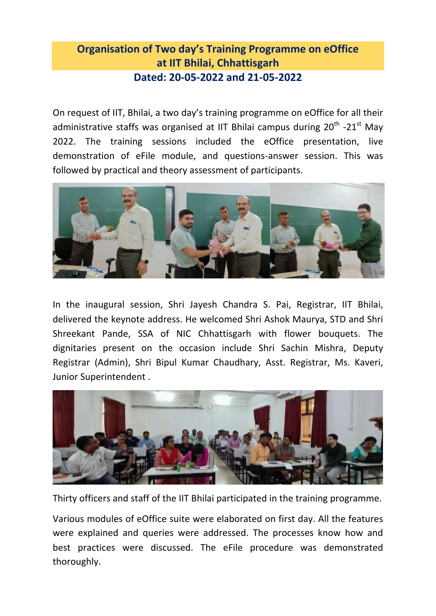## **Organisation of Two day's Training Programme on eOffice at IIT Bhilai, Chhattisgarh Dated: 20-05-2022 and 21-05-2022**

On request of IIT, Bhilai, a two day's training programme on eOffice for all their administrative staffs was organised at IIT Bhilai campus during  $20^{\text{th}}$  -21<sup>st</sup> May 2022. The training sessions included the eOffice presentation, live demonstration of eFile module, and questions-answer session. This was followed by practical and theory assessment of participants.



In the inaugural session, Shri Jayesh Chandra S. Pai, Registrar, IIT Bhilai, delivered the keynote address. He welcomed Shri Ashok Maurya, STD and Shri Shreekant Pande, SSA of NIC Chhattisgarh with flower bouquets. The dignitaries present on the occasion include Shri Sachin Mishra, Deputy Registrar (Admin), Shri Bipul Kumar Chaudhary, Asst. Registrar, Ms. Kaveri, Junior Superintendent .



Thirty officers and staff of the IIT Bhilai participated in the training programme.

Various modules of eOffice suite were elaborated on first day. All the features were explained and queries were addressed. The processes know how and best practices were discussed. The eFile procedure was demonstrated thoroughly.